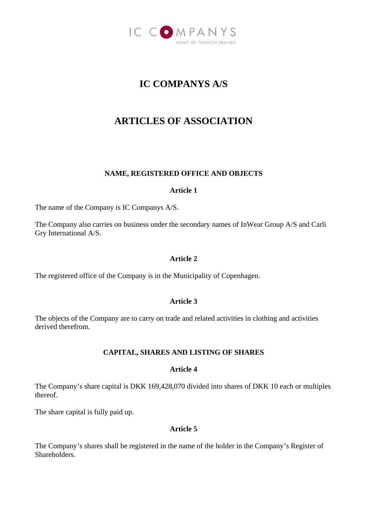

# **IC COMPANYS A/S**

# **ARTICLES OF ASSOCIATION**

# **NAME, REGISTERED OFFICE AND OBJECTS**

## **Article 1**

The name of the Company is IC Companys A/S.

The Company also carries on business under the secondary names of InWear Group A/S and Carli Gry International A/S.

## **Article 2**

The registered office of the Company is in the Municipality of Copenhagen.

## **Article 3**

The objects of the Company are to carry on trade and related activities in clothing and activities derived therefrom.

## **CAPITAL, SHARES AND LISTING OF SHARES**

## **Article 4**

The Company's share capital is DKK 169,428,070 divided into shares of DKK 10 each or multiples thereof.

The share capital is fully paid up.

## **Article 5**

The Company's shares shall be registered in the name of the holder in the Company's Register of **Shareholders**.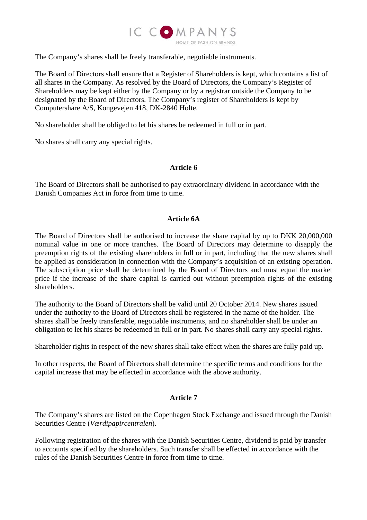

The Company's shares shall be freely transferable, negotiable instruments.

The Board of Directors shall ensure that a Register of Shareholders is kept, which contains a list of all shares in the Company. As resolved by the Board of Directors, the Company's Register of Shareholders may be kept either by the Company or by a registrar outside the Company to be designated by the Board of Directors. The Company's register of Shareholders is kept by Computershare A/S, Kongevejen 418, DK-2840 Holte.

No shareholder shall be obliged to let his shares be redeemed in full or in part.

No shares shall carry any special rights.

## **Article 6**

The Board of Directors shall be authorised to pay extraordinary dividend in accordance with the Danish Companies Act in force from time to time.

## **Article 6A**

The Board of Directors shall be authorised to increase the share capital by up to DKK 20,000,000 nominal value in one or more tranches. The Board of Directors may determine to disapply the preemption rights of the existing shareholders in full or in part, including that the new shares shall be applied as consideration in connection with the Company's acquisition of an existing operation. The subscription price shall be determined by the Board of Directors and must equal the market price if the increase of the share capital is carried out without preemption rights of the existing shareholders.

The authority to the Board of Directors shall be valid until 20 October 2014. New shares issued under the authority to the Board of Directors shall be registered in the name of the holder. The shares shall be freely transferable, negotiable instruments, and no shareholder shall be under an obligation to let his shares be redeemed in full or in part. No shares shall carry any special rights.

Shareholder rights in respect of the new shares shall take effect when the shares are fully paid up.

In other respects, the Board of Directors shall determine the specific terms and conditions for the capital increase that may be effected in accordance with the above authority.

# **Article 7**

The Company's shares are listed on the Copenhagen Stock Exchange and issued through the Danish Securities Centre (*Værdipapircentralen*).

Following registration of the shares with the Danish Securities Centre, dividend is paid by transfer to accounts specified by the shareholders. Such transfer shall be effected in accordance with the rules of the Danish Securities Centre in force from time to time.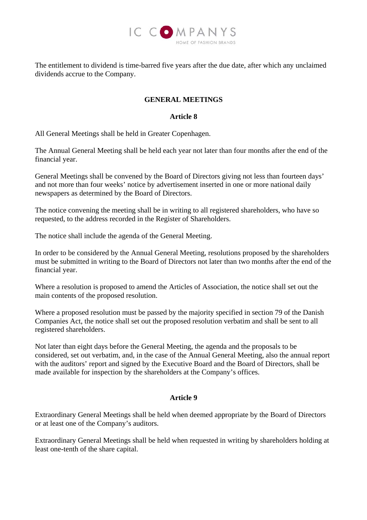

The entitlement to dividend is time-barred five years after the due date, after which any unclaimed dividends accrue to the Company.

# **GENERAL MEETINGS**

## **Article 8**

All General Meetings shall be held in Greater Copenhagen.

The Annual General Meeting shall be held each year not later than four months after the end of the financial year.

General Meetings shall be convened by the Board of Directors giving not less than fourteen days' and not more than four weeks' notice by advertisement inserted in one or more national daily newspapers as determined by the Board of Directors.

The notice convening the meeting shall be in writing to all registered shareholders, who have so requested, to the address recorded in the Register of Shareholders.

The notice shall include the agenda of the General Meeting.

In order to be considered by the Annual General Meeting, resolutions proposed by the shareholders must be submitted in writing to the Board of Directors not later than two months after the end of the financial year.

Where a resolution is proposed to amend the Articles of Association, the notice shall set out the main contents of the proposed resolution.

Where a proposed resolution must be passed by the majority specified in section 79 of the Danish Companies Act, the notice shall set out the proposed resolution verbatim and shall be sent to all registered shareholders.

Not later than eight days before the General Meeting, the agenda and the proposals to be considered, set out verbatim, and, in the case of the Annual General Meeting, also the annual report with the auditors' report and signed by the Executive Board and the Board of Directors, shall be made available for inspection by the shareholders at the Company's offices.

# **Article 9**

Extraordinary General Meetings shall be held when deemed appropriate by the Board of Directors or at least one of the Company's auditors.

Extraordinary General Meetings shall be held when requested in writing by shareholders holding at least one-tenth of the share capital.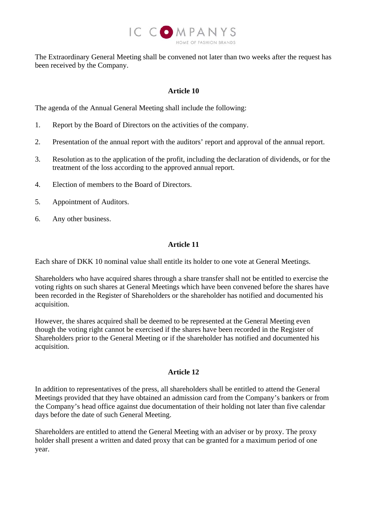

The Extraordinary General Meeting shall be convened not later than two weeks after the request has been received by the Company.

## **Article 10**

The agenda of the Annual General Meeting shall include the following:

- 1. Report by the Board of Directors on the activities of the company.
- 2. Presentation of the annual report with the auditors' report and approval of the annual report.
- 3. Resolution as to the application of the profit, including the declaration of dividends, or for the treatment of the loss according to the approved annual report.
- 4. Election of members to the Board of Directors.
- 5. Appointment of Auditors.
- 6. Any other business.

# **Article 11**

Each share of DKK 10 nominal value shall entitle its holder to one vote at General Meetings.

Shareholders who have acquired shares through a share transfer shall not be entitled to exercise the voting rights on such shares at General Meetings which have been convened before the shares have been recorded in the Register of Shareholders or the shareholder has notified and documented his acquisition.

However, the shares acquired shall be deemed to be represented at the General Meeting even though the voting right cannot be exercised if the shares have been recorded in the Register of Shareholders prior to the General Meeting or if the shareholder has notified and documented his acquisition.

## **Article 12**

In addition to representatives of the press, all shareholders shall be entitled to attend the General Meetings provided that they have obtained an admission card from the Company's bankers or from the Company's head office against due documentation of their holding not later than five calendar days before the date of such General Meeting.

Shareholders are entitled to attend the General Meeting with an adviser or by proxy. The proxy holder shall present a written and dated proxy that can be granted for a maximum period of one year.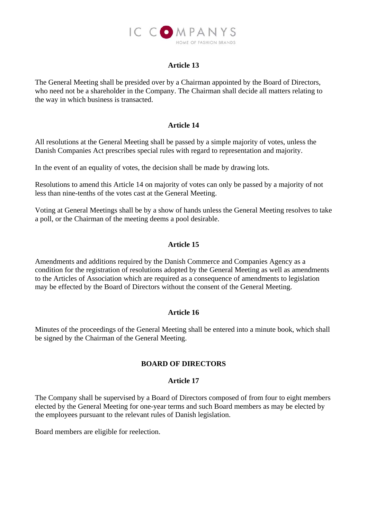

# **Article 13**

The General Meeting shall be presided over by a Chairman appointed by the Board of Directors, who need not be a shareholder in the Company. The Chairman shall decide all matters relating to the way in which business is transacted.

## **Article 14**

All resolutions at the General Meeting shall be passed by a simple majority of votes, unless the Danish Companies Act prescribes special rules with regard to representation and majority.

In the event of an equality of votes, the decision shall be made by drawing lots.

Resolutions to amend this Article 14 on majority of votes can only be passed by a majority of not less than nine-tenths of the votes cast at the General Meeting.

Voting at General Meetings shall be by a show of hands unless the General Meeting resolves to take a poll, or the Chairman of the meeting deems a pool desirable.

# **Article 15**

Amendments and additions required by the Danish Commerce and Companies Agency as a condition for the registration of resolutions adopted by the General Meeting as well as amendments to the Articles of Association which are required as a consequence of amendments to legislation may be effected by the Board of Directors without the consent of the General Meeting.

## **Article 16**

Minutes of the proceedings of the General Meeting shall be entered into a minute book, which shall be signed by the Chairman of the General Meeting.

## **BOARD OF DIRECTORS**

#### **Article 17**

The Company shall be supervised by a Board of Directors composed of from four to eight members elected by the General Meeting for one-year terms and such Board members as may be elected by the employees pursuant to the relevant rules of Danish legislation.

Board members are eligible for reelection.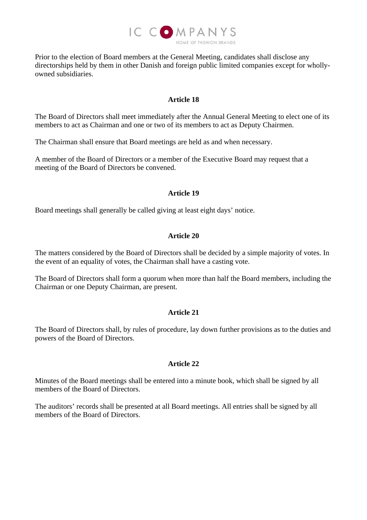

Prior to the election of Board members at the General Meeting, candidates shall disclose any directorships held by them in other Danish and foreign public limited companies except for whollyowned subsidiaries.

## **Article 18**

The Board of Directors shall meet immediately after the Annual General Meeting to elect one of its members to act as Chairman and one or two of its members to act as Deputy Chairmen.

The Chairman shall ensure that Board meetings are held as and when necessary.

A member of the Board of Directors or a member of the Executive Board may request that a meeting of the Board of Directors be convened.

## **Article 19**

Board meetings shall generally be called giving at least eight days' notice.

## **Article 20**

The matters considered by the Board of Directors shall be decided by a simple majority of votes. In the event of an equality of votes, the Chairman shall have a casting vote.

The Board of Directors shall form a quorum when more than half the Board members, including the Chairman or one Deputy Chairman, are present.

## **Article 21**

The Board of Directors shall, by rules of procedure, lay down further provisions as to the duties and powers of the Board of Directors.

## **Article 22**

Minutes of the Board meetings shall be entered into a minute book, which shall be signed by all members of the Board of Directors.

The auditors' records shall be presented at all Board meetings. All entries shall be signed by all members of the Board of Directors.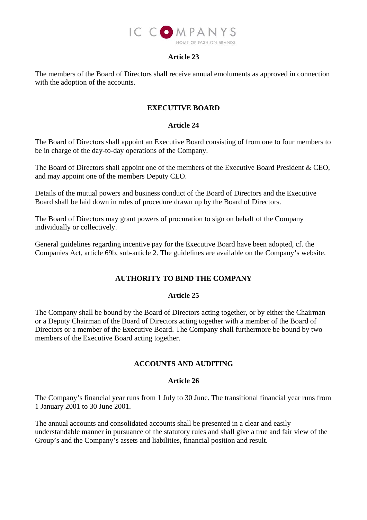

## **Article 23**

The members of the Board of Directors shall receive annual emoluments as approved in connection with the adoption of the accounts.

## **EXECUTIVE BOARD**

## **Article 24**

The Board of Directors shall appoint an Executive Board consisting of from one to four members to be in charge of the day-to-day operations of the Company.

The Board of Directors shall appoint one of the members of the Executive Board President & CEO, and may appoint one of the members Deputy CEO.

Details of the mutual powers and business conduct of the Board of Directors and the Executive Board shall be laid down in rules of procedure drawn up by the Board of Directors.

The Board of Directors may grant powers of procuration to sign on behalf of the Company individually or collectively.

General guidelines regarding incentive pay for the Executive Board have been adopted, cf. the Companies Act, article 69b, sub-article 2. The guidelines are available on the Company's website.

# **AUTHORITY TO BIND THE COMPANY**

## **Article 25**

The Company shall be bound by the Board of Directors acting together, or by either the Chairman or a Deputy Chairman of the Board of Directors acting together with a member of the Board of Directors or a member of the Executive Board. The Company shall furthermore be bound by two members of the Executive Board acting together.

## **ACCOUNTS AND AUDITING**

## **Article 26**

The Company's financial year runs from 1 July to 30 June. The transitional financial year runs from 1 January 2001 to 30 June 2001.

The annual accounts and consolidated accounts shall be presented in a clear and easily understandable manner in pursuance of the statutory rules and shall give a true and fair view of the Group's and the Company's assets and liabilities, financial position and result.